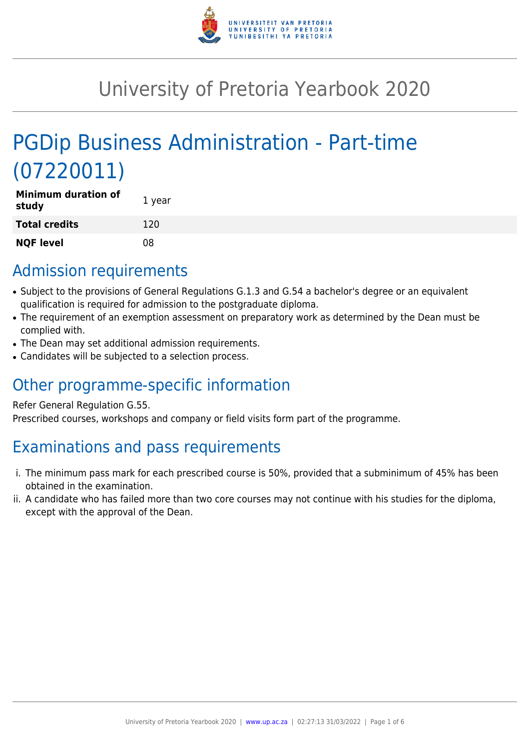

## University of Pretoria Yearbook 2020

# PGDip Business Administration - Part-time (07220011)

| <b>Minimum duration of</b><br>study | 1 year |
|-------------------------------------|--------|
| <b>Total credits</b>                | 120    |
| <b>NQF level</b>                    | 08     |

### Admission requirements

- Subject to the provisions of General Regulations G.1.3 and G.54 a bachelor's degree or an equivalent qualification is required for admission to the postgraduate diploma.
- The requirement of an exemption assessment on preparatory work as determined by the Dean must be complied with.
- The Dean may set additional admission requirements.
- Candidates will be subjected to a selection process.

## Other programme-specific information

#### Refer General Regulation G.55.

Prescribed courses, workshops and company or field visits form part of the programme.

## Examinations and pass requirements

- i. The minimum pass mark for each prescribed course is 50%, provided that a subminimum of 45% has been obtained in the examination.
- ii. A candidate who has failed more than two core courses may not continue with his studies for the diploma, except with the approval of the Dean.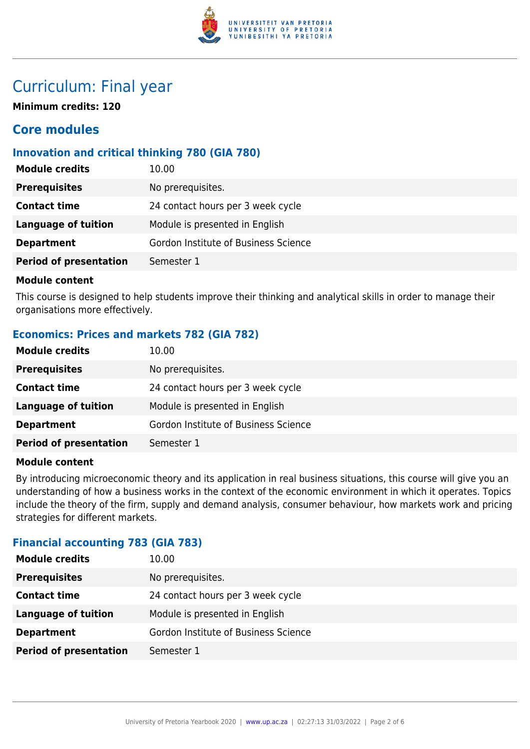

### Curriculum: Final year

**Minimum credits: 120**

### **Core modules**

#### **Innovation and critical thinking 780 (GIA 780)**

| No prerequisites.<br><b>Prerequisites</b><br>24 contact hours per 3 week cycle<br><b>Contact time</b><br><b>Language of tuition</b><br>Module is presented in English | <b>Module credits</b> | 10.00                                |
|-----------------------------------------------------------------------------------------------------------------------------------------------------------------------|-----------------------|--------------------------------------|
|                                                                                                                                                                       |                       |                                      |
|                                                                                                                                                                       |                       |                                      |
|                                                                                                                                                                       |                       |                                      |
|                                                                                                                                                                       | <b>Department</b>     | Gordon Institute of Business Science |
| <b>Period of presentation</b><br>Semester 1                                                                                                                           |                       |                                      |

#### **Module content**

This course is designed to help students improve their thinking and analytical skills in order to manage their organisations more effectively.

#### **Economics: Prices and markets 782 (GIA 782)**

| <b>Module credits</b>         | 10.00                                |
|-------------------------------|--------------------------------------|
| <b>Prerequisites</b>          | No prerequisites.                    |
| <b>Contact time</b>           | 24 contact hours per 3 week cycle    |
| Language of tuition           | Module is presented in English       |
| <b>Department</b>             | Gordon Institute of Business Science |
| <b>Period of presentation</b> | Semester 1                           |

#### **Module content**

By introducing microeconomic theory and its application in real business situations, this course will give you an understanding of how a business works in the context of the economic environment in which it operates. Topics include the theory of the firm, supply and demand analysis, consumer behaviour, how markets work and pricing strategies for different markets.

#### **Financial accounting 783 (GIA 783)**

| <b>Module credits</b>         | 10.00                                |
|-------------------------------|--------------------------------------|
| <b>Prerequisites</b>          | No prerequisites.                    |
| <b>Contact time</b>           | 24 contact hours per 3 week cycle    |
| <b>Language of tuition</b>    | Module is presented in English       |
| <b>Department</b>             | Gordon Institute of Business Science |
| <b>Period of presentation</b> | Semester 1                           |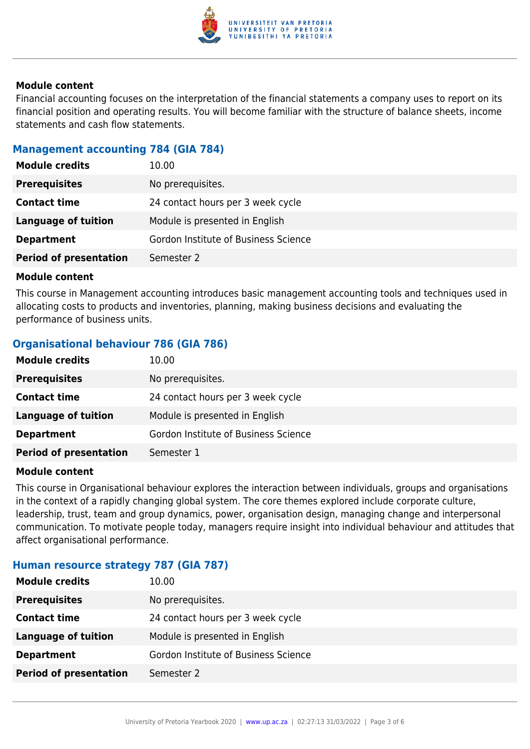

#### **Module content**

Financial accounting focuses on the interpretation of the financial statements a company uses to report on its financial position and operating results. You will become familiar with the structure of balance sheets, income statements and cash flow statements.

#### **Management accounting 784 (GIA 784)**

| <b>Module credits</b>         | 10.00                                |
|-------------------------------|--------------------------------------|
| <b>Prerequisites</b>          | No prerequisites.                    |
| <b>Contact time</b>           | 24 contact hours per 3 week cycle    |
| Language of tuition           | Module is presented in English       |
| <b>Department</b>             | Gordon Institute of Business Science |
| <b>Period of presentation</b> | Semester 2                           |

#### **Module content**

This course in Management accounting introduces basic management accounting tools and techniques used in allocating costs to products and inventories, planning, making business decisions and evaluating the performance of business units.

#### **Organisational behaviour 786 (GIA 786)**

| <b>Module credits</b>         | 10.00                                |
|-------------------------------|--------------------------------------|
| <b>Prerequisites</b>          | No prerequisites.                    |
| <b>Contact time</b>           | 24 contact hours per 3 week cycle    |
| Language of tuition           | Module is presented in English       |
| <b>Department</b>             | Gordon Institute of Business Science |
| <b>Period of presentation</b> | Semester 1                           |

#### **Module content**

This course in Organisational behaviour explores the interaction between individuals, groups and organisations in the context of a rapidly changing global system. The core themes explored include corporate culture, leadership, trust, team and group dynamics, power, organisation design, managing change and interpersonal communication. To motivate people today, managers require insight into individual behaviour and attitudes that affect organisational performance.

#### **Human resource strategy 787 (GIA 787)**

| <b>Module credits</b>         | 10.00                                |
|-------------------------------|--------------------------------------|
| <b>Prerequisites</b>          | No prerequisites.                    |
| <b>Contact time</b>           | 24 contact hours per 3 week cycle    |
| Language of tuition           | Module is presented in English       |
| <b>Department</b>             | Gordon Institute of Business Science |
| <b>Period of presentation</b> | Semester 2                           |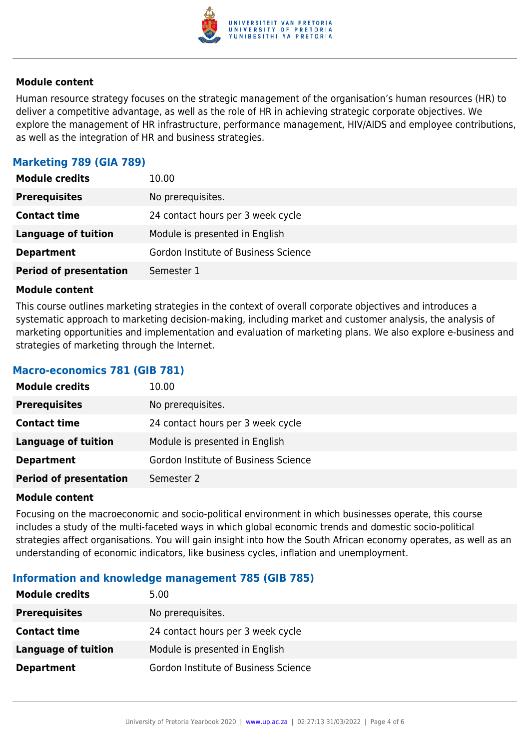

#### **Module content**

Human resource strategy focuses on the strategic management of the organisation's human resources (HR) to deliver a competitive advantage, as well as the role of HR in achieving strategic corporate objectives. We explore the management of HR infrastructure, performance management, HIV/AIDS and employee contributions, as well as the integration of HR and business strategies.

#### **Marketing 789 (GIA 789)**

| <b>Module credits</b>         | 10.00                                |
|-------------------------------|--------------------------------------|
| <b>Prerequisites</b>          | No prerequisites.                    |
| <b>Contact time</b>           | 24 contact hours per 3 week cycle    |
| <b>Language of tuition</b>    | Module is presented in English       |
| <b>Department</b>             | Gordon Institute of Business Science |
| <b>Period of presentation</b> | Semester 1                           |

#### **Module content**

This course outlines marketing strategies in the context of overall corporate objectives and introduces a systematic approach to marketing decision-making, including market and customer analysis, the analysis of marketing opportunities and implementation and evaluation of marketing plans. We also explore e-business and strategies of marketing through the Internet.

#### **Macro-economics 781 (GIB 781)**

| <b>Module credits</b>         | 10.00                                |
|-------------------------------|--------------------------------------|
| <b>Prerequisites</b>          | No prerequisites.                    |
| <b>Contact time</b>           | 24 contact hours per 3 week cycle    |
| <b>Language of tuition</b>    | Module is presented in English       |
| <b>Department</b>             | Gordon Institute of Business Science |
| <b>Period of presentation</b> | Semester 2                           |

#### **Module content**

Focusing on the macroeconomic and socio-political environment in which businesses operate, this course includes a study of the multi-faceted ways in which global economic trends and domestic socio-political strategies affect organisations. You will gain insight into how the South African economy operates, as well as an understanding of economic indicators, like business cycles, inflation and unemployment.

#### **Information and knowledge management 785 (GIB 785)**

| <b>Module credits</b> | 5.00                                 |
|-----------------------|--------------------------------------|
| <b>Prerequisites</b>  | No prerequisites.                    |
| <b>Contact time</b>   | 24 contact hours per 3 week cycle    |
| Language of tuition   | Module is presented in English       |
| <b>Department</b>     | Gordon Institute of Business Science |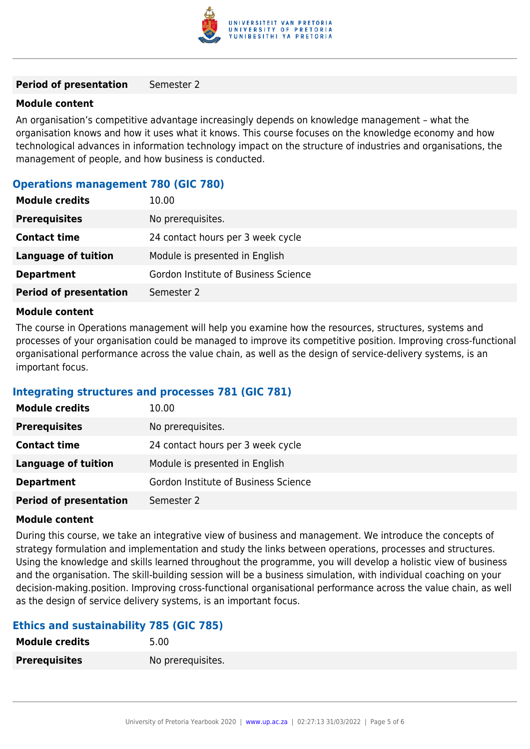

#### **Period of presentation** Semester 2

#### **Module content**

An organisation's competitive advantage increasingly depends on knowledge management – what the organisation knows and how it uses what it knows. This course focuses on the knowledge economy and how technological advances in information technology impact on the structure of industries and organisations, the management of people, and how business is conducted.

#### **Operations management 780 (GIC 780)**

| <b>Module credits</b>         | 10.00                                |
|-------------------------------|--------------------------------------|
| <b>Prerequisites</b>          | No prerequisites.                    |
| <b>Contact time</b>           | 24 contact hours per 3 week cycle    |
| Language of tuition           | Module is presented in English       |
| <b>Department</b>             | Gordon Institute of Business Science |
| <b>Period of presentation</b> | Semester 2                           |

#### **Module content**

The course in Operations management will help you examine how the resources, structures, systems and processes of your organisation could be managed to improve its competitive position. Improving cross-functional organisational performance across the value chain, as well as the design of service-delivery systems, is an important focus.

#### **Integrating structures and processes 781 (GIC 781)**

| <b>Module credits</b>         | 10.00                                |
|-------------------------------|--------------------------------------|
| <b>Prerequisites</b>          | No prerequisites.                    |
| <b>Contact time</b>           | 24 contact hours per 3 week cycle    |
| Language of tuition           | Module is presented in English       |
| <b>Department</b>             | Gordon Institute of Business Science |
| <b>Period of presentation</b> | Semester 2                           |

#### **Module content**

During this course, we take an integrative view of business and management. We introduce the concepts of strategy formulation and implementation and study the links between operations, processes and structures. Using the knowledge and skills learned throughout the programme, you will develop a holistic view of business and the organisation. The skill-building session will be a business simulation, with individual coaching on your decision-making.position. Improving cross-functional organisational performance across the value chain, as well as the design of service delivery systems, is an important focus.

#### **Ethics and sustainability 785 (GIC 785)**

| <b>Module credits</b> | 5.00              |
|-----------------------|-------------------|
| <b>Prerequisites</b>  | No prerequisites. |